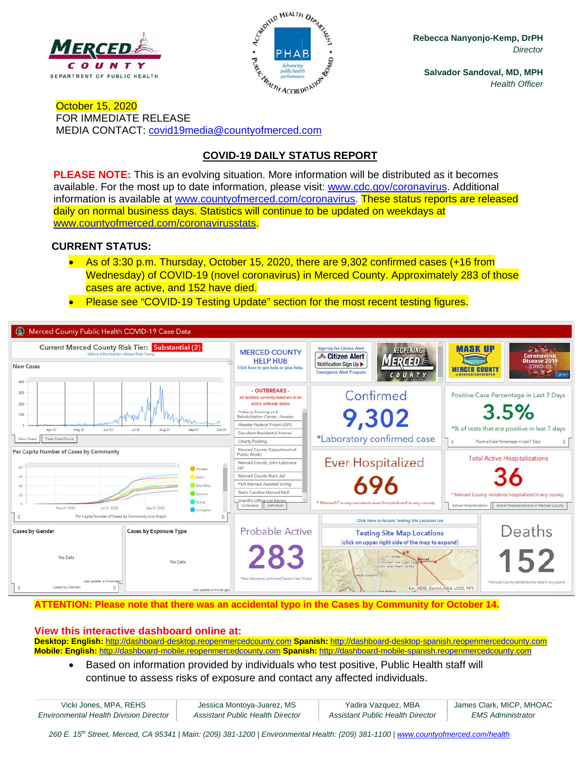



**Rebecca Nanyonjo-Kemp, DrPH**  *Director* 

**Salvador Sandoval, MD, MPH**  *Health Officer* 

October 15, 2020 FOR IMMEDIATE RELEASE MEDIA CONTACT: covid19media@countyofmerced.com

# **COVID-19 DAILY STATUS REPORT**

**PLEASE NOTE:** This is an evolving situation. More information will be distributed as it becomes available. For the most up to date information, please visit: www.cdc.gov/coronavirus. Additional information is available at www.countyofmerced.com/coronavirus. These status reports are released daily on normal business days. Statistics will continue to be updated on weekdays at www.countyofmerced.com/coronavirusstats.

#### **CURRENT STATUS:**

- As of 3:30 p.m. Thursday, October 15, 2020, there are 9,302 confirmed cases (+16 from Wednesday) of COVID-19 (novel coronavirus) in Merced County. Approximately 283 of those cases are active, and 152 have died.
- **Please see "COVID-19 Testing Update" section for the most recent testing figures.**



#### **ATTENTION: Please note that there was an accidental typo in the Cases by Community for October 14.**

#### **View this interactive dashboard online at:**

**Desktop: English:** http://dashboard-desktop.reopenmercedcounty.com **Spanish:** http://dashboard-desktop-spanish.reopenmercedcounty.com **Mobile: English:** http://dashboard-mobile.reopenmercedcounty.com **Spanish:** http://dashboard-mobile-spanish.reopenmercedcounty.com

 Based on information provided by individuals who test positive, Public Health staff will continue to assess risks of exposure and contact any affected individuals.

| Vicki Jones, MPA, REHS                        | Jessica Montoya-Juarez, MS       | Yadira Vazquez, MBA              | James Clark, MICP, MHOAC |
|-----------------------------------------------|----------------------------------|----------------------------------|--------------------------|
| <b>Environmental Health Division Director</b> | Assistant Public Health Director | Assistant Public Health Director | EMS Administrator        |

*260 E. 15th Street, Merced, CA 95341 | Main: (209) 381-1200 | Environmental Health: (209) 381-1100* | *www.countyofmerced.com/health*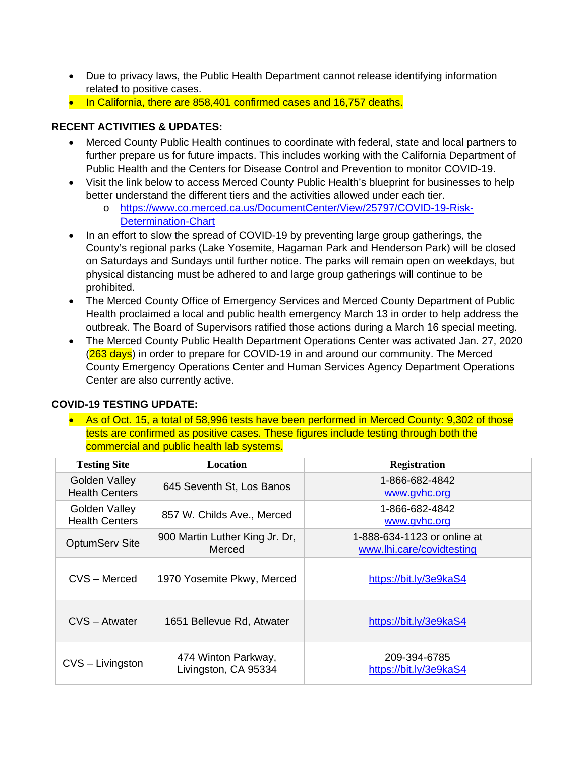- Due to privacy laws, the Public Health Department cannot release identifying information related to positive cases.
- In California, there are 858,401 confirmed cases and 16,757 deaths.

## **RECENT ACTIVITIES & UPDATES:**

- Merced County Public Health continues to coordinate with federal, state and local partners to further prepare us for future impacts. This includes working with the California Department of Public Health and the Centers for Disease Control and Prevention to monitor COVID-19.
- Visit the link below to access Merced County Public Health's blueprint for businesses to help better understand the different tiers and the activities allowed under each tier.
	- o https://www.co.merced.ca.us/DocumentCenter/View/25797/COVID-19-Risk-Determination-Chart
- In an effort to slow the spread of COVID-19 by preventing large group gatherings, the County's regional parks (Lake Yosemite, Hagaman Park and Henderson Park) will be closed on Saturdays and Sundays until further notice. The parks will remain open on weekdays, but physical distancing must be adhered to and large group gatherings will continue to be prohibited.
- The Merced County Office of Emergency Services and Merced County Department of Public Health proclaimed a local and public health emergency March 13 in order to help address the outbreak. The Board of Supervisors ratified those actions during a March 16 special meeting.
- The Merced County Public Health Department Operations Center was activated Jan. 27, 2020 (263 days) in order to prepare for COVID-19 in and around our community. The Merced County Emergency Operations Center and Human Services Agency Department Operations Center are also currently active.

### **COVID-19 TESTING UPDATE:**

 As of Oct. 15, a total of 58,996 tests have been performed in Merced County: 9,302 of those tests are confirmed as positive cases. These figures include testing through both the commercial and public health lab systems.

| <b>Testing Site</b>                    | <b>Location</b>                             | <b>Registration</b>                                      |
|----------------------------------------|---------------------------------------------|----------------------------------------------------------|
| Golden Valley<br><b>Health Centers</b> | 645 Seventh St, Los Banos                   | 1-866-682-4842<br>www.gyhc.org                           |
| Golden Valley<br><b>Health Centers</b> | 857 W. Childs Ave., Merced                  | 1-866-682-4842<br>www.gvhc.org                           |
| <b>OptumServ Site</b>                  | 900 Martin Luther King Jr. Dr,<br>Merced    | 1-888-634-1123 or online at<br>www.lhi.care/covidtesting |
| CVS - Merced                           | 1970 Yosemite Pkwy, Merced                  | https://bit.ly/3e9kaS4                                   |
| CVS - Atwater                          | 1651 Bellevue Rd, Atwater                   | https://bit.ly/3e9kaS4                                   |
| CVS - Livingston                       | 474 Winton Parkway,<br>Livingston, CA 95334 | 209-394-6785<br>https://bit.ly/3e9kaS4                   |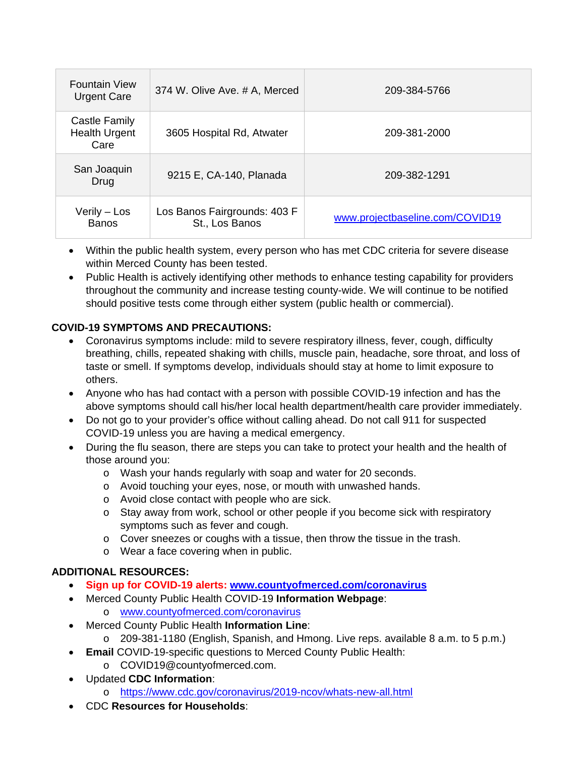| <b>Fountain View</b><br><b>Urgent Care</b>    | 374 W. Olive Ave. # A, Merced                  | 209-384-5766                    |
|-----------------------------------------------|------------------------------------------------|---------------------------------|
| Castle Family<br><b>Health Urgent</b><br>Care | 3605 Hospital Rd, Atwater                      | 209-381-2000                    |
| San Joaquin<br>Drug                           | 9215 E, CA-140, Planada                        | 209-382-1291                    |
| Verily - Los<br><b>Banos</b>                  | Los Banos Fairgrounds: 403 F<br>St., Los Banos | www.projectbaseline.com/COVID19 |

- Within the public health system, every person who has met CDC criteria for severe disease within Merced County has been tested.
- Public Health is actively identifying other methods to enhance testing capability for providers throughout the community and increase testing county-wide. We will continue to be notified should positive tests come through either system (public health or commercial).

## **COVID-19 SYMPTOMS AND PRECAUTIONS:**

- Coronavirus symptoms include: mild to severe respiratory illness, fever, cough, difficulty breathing, chills, repeated shaking with chills, muscle pain, headache, sore throat, and loss of taste or smell. If symptoms develop, individuals should stay at home to limit exposure to others.
- Anyone who has had contact with a person with possible COVID-19 infection and has the above symptoms should call his/her local health department/health care provider immediately.
- Do not go to your provider's office without calling ahead. Do not call 911 for suspected COVID-19 unless you are having a medical emergency.
- During the flu season, there are steps you can take to protect your health and the health of those around you:
	- o Wash your hands regularly with soap and water for 20 seconds.
	- o Avoid touching your eyes, nose, or mouth with unwashed hands.
	- o Avoid close contact with people who are sick.
	- o Stay away from work, school or other people if you become sick with respiratory symptoms such as fever and cough.
	- $\circ$  Cover sneezes or coughs with a tissue, then throw the tissue in the trash.
	- o Wear a face covering when in public.

### **ADDITIONAL RESOURCES:**

- **Sign up for COVID-19 alerts: www.countyofmerced.com/coronavirus**
- Merced County Public Health COVID-19 **Information Webpage**: o www.countyofmerced.com/coronavirus
- Merced County Public Health **Information Line**:
	- o 209-381-1180 (English, Spanish, and Hmong. Live reps. available 8 a.m. to 5 p.m.)
- **Email** COVID-19-specific questions to Merced County Public Health:
	- o COVID19@countyofmerced.com.
- Updated **CDC Information**:
	- o https://www.cdc.gov/coronavirus/2019-ncov/whats-new-all.html
- CDC **Resources for Households**: